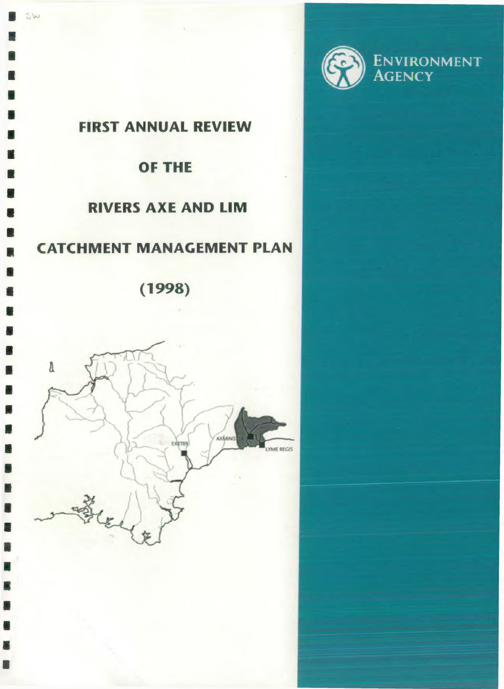



 $5w$ 

 $\blacksquare$ 

n

 $\blacksquare$ 

 $\blacksquare$ 

 $\blacksquare$ 

 $\blacksquare$ 

n

 $\blacksquare$ 

 $\blacksquare$ 

# **OF THE**

# **RIVERS AXE AND LIM**

# **CATCHMENT MANAGEMENT PLAN**

**(1998)**

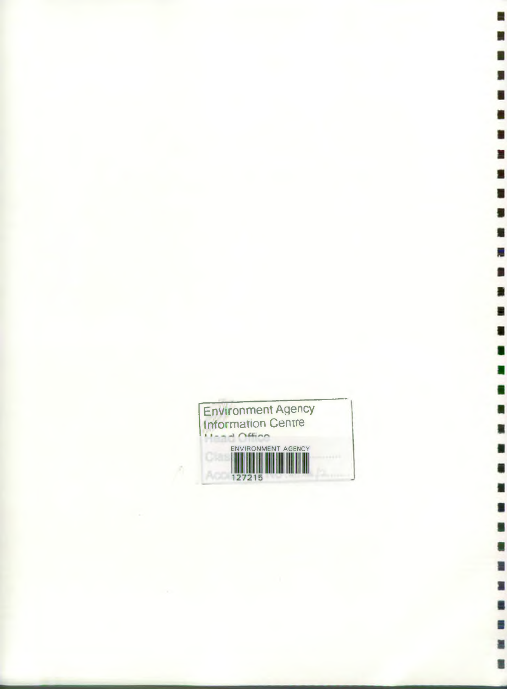

A

п

1

∎

Ë

是

.

E

骊

я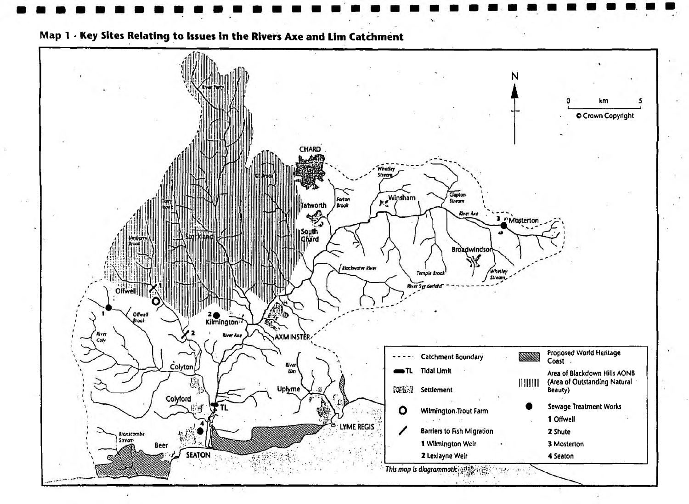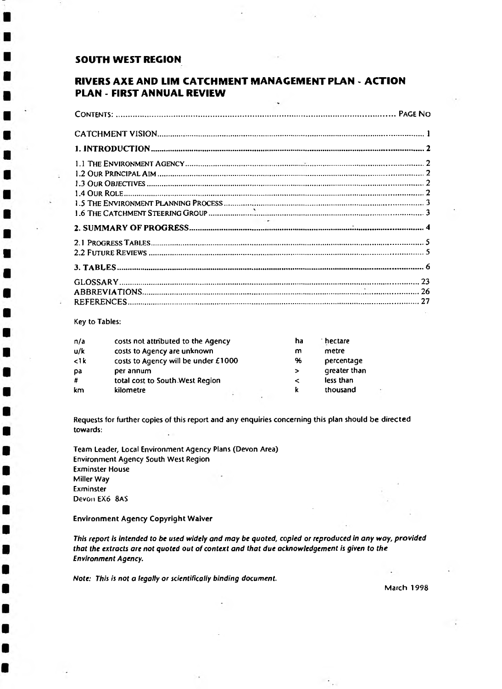# **SOUTH WEST REGION**

# **RIVERS AXE AND LIM CATCHMENT MANAGEMENT PLAN - ACTION PLAN - FIRST ANNUAL REVIEW**

Key to Tables:

| n/a               | costs not attributed to the Agency  | ha     | hectare <sup>*</sup> |
|-------------------|-------------------------------------|--------|----------------------|
| u/k               | costs to Agency are unknown         | m      | metre                |
| $\leq$ 1 $\bf{k}$ | costs to Agency will be under £1000 | 96     | percentage           |
| pa                | per annum                           | $\geq$ | greater than         |
| #                 | total cost to South West Region     | ≺      | less than            |
| km                | kilometre                           | k      | thousand             |

Requests for further copies of this report and any enquiries concerning this plan should be directed towards: ż.

Team Leader, Local Environment Agency Plans (Devon Area) Environment Agency South West Region Exminster House Miller Way Exminster Devon EX6 8AS

Environment Agency Copyright Waiver

*This report is intended to be used widely and may be quoted, copied or reproduced in any way, provided that the* extracts *are not quoted out of context and that due acknowledgement is given to the Environment Agency.*

*Note: This is not a legally or scientifically binding document.*

March 1998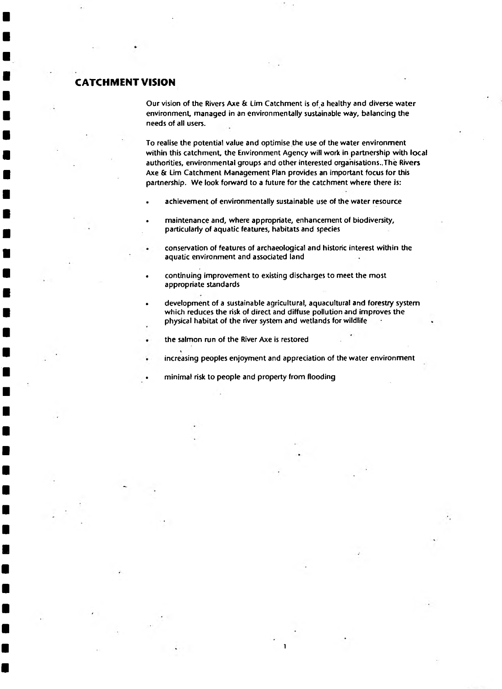# <span id="page-4-0"></span>**CATCHMENT VISION**

Our vision of the Rivers Axe & Lim Catchment is of a healthy and diverse water environment, managed in an environmentally sustainable way, balancing the needs of all users.

To realise the potential value and optimise the use of the water environment within this catchment, the Environment Agency will work in partnership with local authorities, environmental groups and other interested organisations..The Rivers Axe & Lim Catchment Management Plan provides an important focus for this partnership. We look forward to a future for the catchment where there is:

- achievement of environmentally sustainable use of the water resource
- maintenance and, where appropriate, enhancement of biodiversity, particularly of aquatic features, habitats and species
	- conservation of features of archaeological and historic interest within the aquatic environment and associated land
- continuing improvement to existing discharges to meet the most appropriate standards
- development of a sustainable agricultural, aquacultural and forestry system which reduces the risk of direct and diffuse pollution and improves the physical habitat of the river system and wetlands for wildlife
- the salmon run of the River Axe is restored
- increasing peoples enjoyment and appreciation of the water environment

1

• minimal risk to people and property from flooding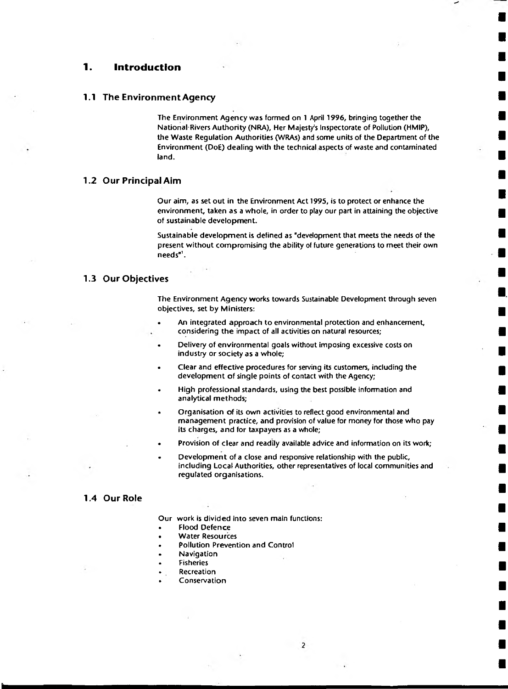#### <span id="page-5-0"></span>1. **Introduction**

#### <span id="page-5-1"></span>**1.1 The Environment Agency**

The Environment Agency was formed on 1 April 1996, bringing together the National Rivers Authority (NRA), Her Majesty's Inspectorate of Pollution (HMIP), the Waste Regulation Authorities (WRAs) and some units of the Department of the Environment (DoE) dealing with the technical aspects of waste and contaminated land.

#### <span id="page-5-2"></span>**1.2 Our Principal Aim**

Our aim, as set out in the Environment Act 1995, is to protect or enhance the environment, taken as a whole, in order to play our part in attaining the objective of sustainable development.

Sustainable development is defined as "development that meets the needs of the present without compromising the ability of future generations to meet their own needs"<sup>1</sup>.

#### <span id="page-5-3"></span>**1.3 Our Objectives**

The Environment Agency works towards Sustainable Development through seven objectives, set by Ministers:

- An integrated approach to environmental protection and enhancement, considering the impact of all activities on natural resources;
- Delivery of environmental goals without imposing excessive costs on industry or society as a whole;
- Clear and effective procedures for serving its customers, including the development of single points of contact with the Agency;
- High professional standards, using the best possible information and analytical methods;
- Organisation of its own activities to reflect good environmental and management practice, and provision of value for money for those who pay its charges, and for taxpayers as a whole;
- Provision of clear and readily available advice and information on its work;
- Development of a close and responsive relationship with the public, including Local Authorities, other representatives of local communities and regulated organisations.

 $\overline{2}$ 

#### <span id="page-5-4"></span>**1.4 Our Role**

I

Our work is divided into seven main functions:

- Flood Defence
- **Water Resources**
- Pollution Prevention and Control
- Navigation
- **Fisheries**
- Recreation
- Conservation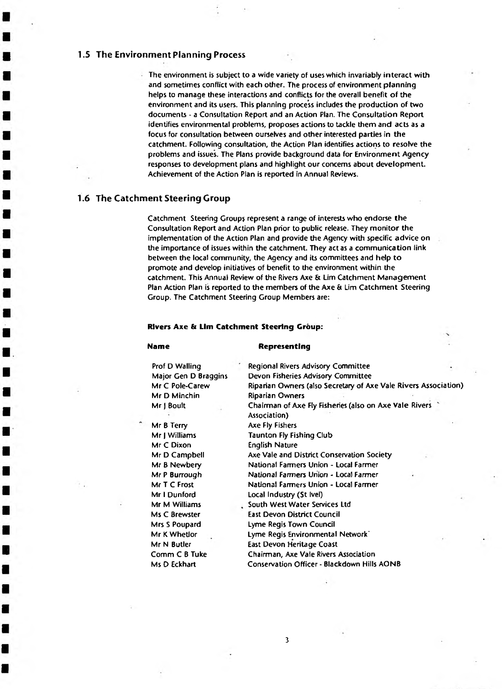#### <span id="page-6-0"></span>**1.5 The Environment Planning Process**

The environment is subject to a wide variety of uses which invariably interact with and sometimes conflict with each other. The process of environment planning helps to manage these interactions and conflicts for the overall benefit of the environment and its users. This planning process includes the production of two documents - a Consultation Report and an Action Plan. The Consultation Report identifies environmental problems, proposes actions to tackle them and acts as a focus for consultation between ourselves and other interested parties in the catchment. Following consultation, the Action Plan identifies actions to resolve the problems and issues. The Plans provide background data for Environment Agency responses to development plans and highlight our concerns about development. Achievement of the Action Plan is reported in Annual Reviews.

#### <span id="page-6-1"></span>**1.6 The Catchment Steering Croup**

Catchment Steering Group; represent a range of interests who endorse the Consultation Report and Action Plan prior to public release. They monitor the implementation of the Action Plan and provide the Agency with specific advice on the importance of issues within the catchment. They act as a communication link between the local community, the Agency and its committees and help to promote and develop initiatives of benefit to the environment within the catchment. This Annual Review of the Rivers Axe & Lim Catchment Management Plan Action Plan is reported to the members of the Axe & Lim Catchment Steering Group. The Catchment Steering Group Members are:

#### **Rivers Axe & Urn Catchment Steering Group:**

#### **Name Representing**

3

Prof D Walling Major Gen D Braggins Mr C Pole-Carew Mr D Minchin Mr J Boult

Mr B Terry Mr | Williams Mr C Dixon Mr D Campbell Mr B Newbery Mr P Burrough Mr T C Frost Mr I Dunford Mr M Williams Ms C Brewster Mrs S Poupard Mr K Whetlor Mr N Butler Comm C B Tuke Ms O Eckhart

Regional Rivers Advisory Committee Devon Fisheries Advisory Committee Riparian Owners (also Secretary of Axe Vale Rivers Association) Riparian Owners Chairman of Axe Fly Fisheries (also on Axe Vale Rivers Association) Axe Fly Fishers Taunton Fly Fishing Club English Nature Axe Vale and District Conservation Society National Farmers Union - Local Farmer National Farmers Union - Local Farmer National Farmers Union - Local Farmer Local Industry (St Ivel) South West Water Services Ltd East Devon District Council Lyme Regis Town Council Lyme Regis Environmental Network' East Devon Heritage Coast Chairman, Axe Vale Rivers Association Conservation Officer - Blackdown Hills AONB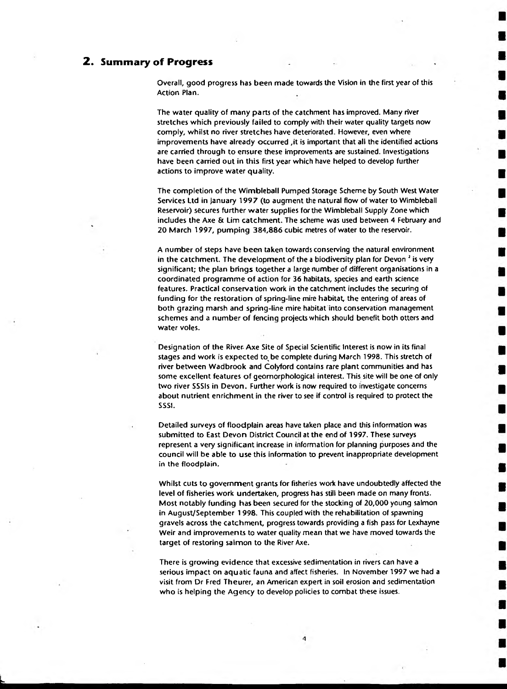## <span id="page-7-0"></span>**2 . Sum m ary of Progress**

Overall, good progress has been made towards the Vision in the first year of this Action Plan.

The water quality of many parts of the catchment has improved. Many river stretches which previously failed to comply with their water quality targets now comply, whilst no river stretches have deteriorated. However, even where improvements have already occurred ,it is important that all the identified actions are carried through to ensure these improvements are sustained. Investigations have been carried out in this first year which have helped to develop further actions to improve water quality.

The completion of the Wimbleball Pumped Storage Scheme by South West Water Services Ltd in January 1997 (to augment the natural flow of water to Wimbleball Reservoir) secures further water supplies for the Wimbleball Supply Zone which includes the Axe & Lim catchment. The scheme was used between 4 February and 20 March 1997, pumping 384,886 cubic metres of water to the reservoir.

A number of steps have been taken towards conserving the natural environment in the catchment. The development of the a biodiversity plan for Devon<sup>2</sup> is very significant; the plan brings together a targe number of different organisations in a coordinated programme of action for 36 habitats, species and earth science features. Practical conservation work in the catchment includes the securing of funding for the restoration of spring-line mire habitat, the entering of areas of both grazing marsh and spring-line mire habitat into conservation management schemes and a number of fencing projects which should benefit both otters and water voles.

Designation of the River- Axe Site of Special Scientific Interest is now in its final stages and work is expected to be complete during March 1998. This stretch of river between Wadbrook and Colyford contains rare plant communities and has some excellent features of geomorphological interest. This site will be one of only two river SSSIs in Devon. Further work is now required to investigate concerns about nutrient enrichment in the river to see if control is required to protect the SSSI.

Detailed surveys of floodplain areas have taken place and this information was submitted to East Devon District Council at the end of 1997. These surveys represent a very significant increase in information for planning purposes and the council will be able to use this information to prevent inappropriate development in the floodplain.

Whilst cuts to government grants for fisheries work have undoubtedly affected the level of fisheries work undertaken, progress has still been made on many fronts. Most notably funding has been secured for the stocking of 20,000 young salmon in August/September 1998. This coupled with the rehabilitation of spawning gravels across the catchment, progress towards providing a fish pass for Lexhayne Weir and improvements to water quality mean that we have moved towards the target of restoring salmon to the River Axe.

There is growing evidence that excessive sedimentation in rivers can have a serious impact on aquatic fauna and affect fisheries. In November 1997 we had a visit from Dr Fred Theurer, an American expert in soil erosion and sedimentation who is helping the Agency to develop policies to combat these issues.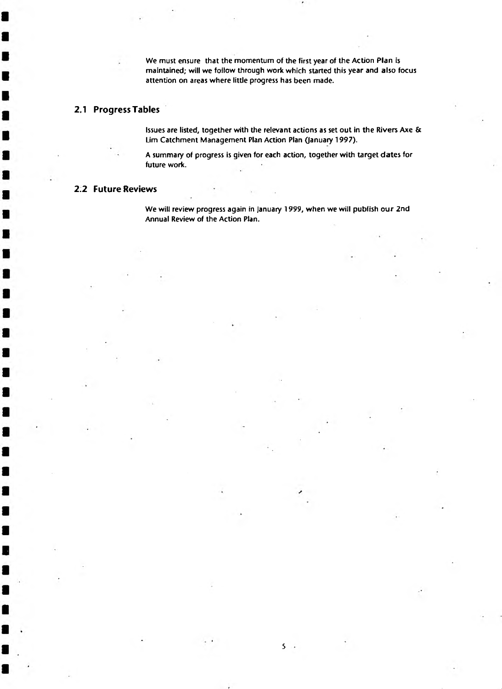We must ensure that the momentum of the first year of the Action Plan is maintained; will we follow through work which started this year and also focus attention on areas where little progress has been made.

# <span id="page-8-0"></span>**2.1 Progress Tables**

Issues are listed, together with the relevant actions as set out in the Rivers Axe & Lim Catchment Management Plan Action Plan (January 1997).

A summary of progress is given for each action, together with target dates for future work.

#### <span id="page-8-1"></span>**2.2 Future Reviews**

We will review progress again in January 1999, when we will publish our 2nd Annual Review of the Action Plan.

5 .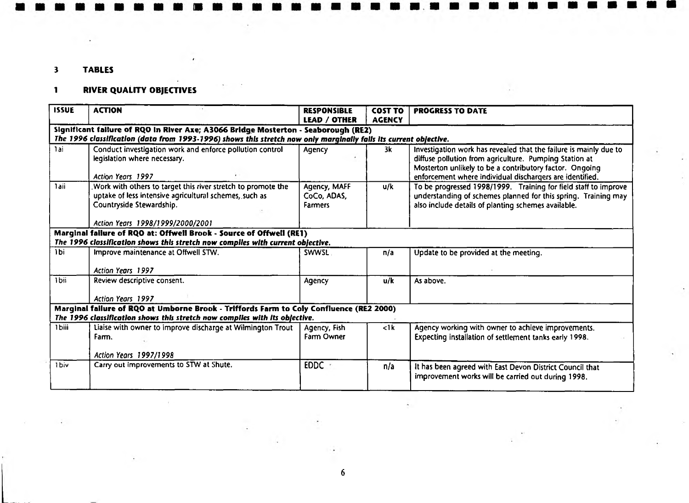# 3 TABLES

# 1 RIVER QUALITY OBJECTIVES

| <b>ISSUE</b> | <b>ACTION</b>                                                                                                                                                                                           | <b>RESPONSIBLE</b>                            | <b>COST TO</b>    | <b>PROGRESS TO DATE</b>                                                                                                                                                                                                                            |
|--------------|---------------------------------------------------------------------------------------------------------------------------------------------------------------------------------------------------------|-----------------------------------------------|-------------------|----------------------------------------------------------------------------------------------------------------------------------------------------------------------------------------------------------------------------------------------------|
|              |                                                                                                                                                                                                         | LEAD / OTHER                                  | <b>AGENCY</b>     |                                                                                                                                                                                                                                                    |
|              | Significant failure of RQO in River Axe; A3066 Bridge Mosterton - Seaborough (RE2)<br>The 1996 classification (data from 1993-1996) shows this stretch now only marginally falls its current objective. |                                               |                   |                                                                                                                                                                                                                                                    |
| 1ai          | Conduct investigation work and enforce pollution control<br>legislation where necessary.<br>Action Years 1997                                                                                           | Agency                                        | 3k                | Investigation work has revealed that the failure is mainly due to<br>diffuse pollution from agriculture. Pumping Station at<br>Mosterton unlikely to be a contributory factor. Ongoing<br>enforcement where individual dischargers are identified. |
| 1aii         | Work with others to target this river stretch to promote the<br>uptake of less intensive agricultural schemes, such as<br>Countryside Stewardship.<br>Action Years 1998/1999/2000/2001                  | Agency, MAFF<br>CoCo, ADAS,<br><b>Farmers</b> | u/k               | To be progressed 1998/1999. Training for field staff to improve<br>understanding of schemes planned for this spring. Training may<br>also include details of planting schemes available.                                                           |
|              | Marginal failure of RQO at: Offwell Brook - Source of Offwell (RE1)<br>The 1996 classification shows this stretch now compiles with current objective.                                                  |                                               |                   |                                                                                                                                                                                                                                                    |
| 1bi          | Improve maintenance at Offwell STW.<br><b>Action Years 1997</b>                                                                                                                                         | <b>SWWSL</b>                                  | n/a               | Update to be provided at the meeting.                                                                                                                                                                                                              |
| 1 bii        | Review descriptive consent.<br>Action Years 1997                                                                                                                                                        | Agency                                        | u/k               | As above.                                                                                                                                                                                                                                          |
|              | Marginal failure of RQO at Umborne Brook - Triffords Farm to Coly Confluence (RE2 2000)<br>The 1996 classification shows this stretch now compiles with its objective.                                  |                                               |                   |                                                                                                                                                                                                                                                    |
| 1biii        | Liaise with owner to improve discharge at Wilmington Trout<br>Farm.<br>Action Years 1997/1998                                                                                                           | Agency, Fish<br>Farm Owner                    | $\leq$ 1 $\bf{k}$ | Agency working with owner to achieve improvements.<br>Expecting installation of settlement tanks early 1998.                                                                                                                                       |
| 1biv         | Carry out improvements to STW at Shute.                                                                                                                                                                 | EDDC                                          | n/a               | It has been agreed with East Devon District Council that<br>improvement works will be carried out during 1998.                                                                                                                                     |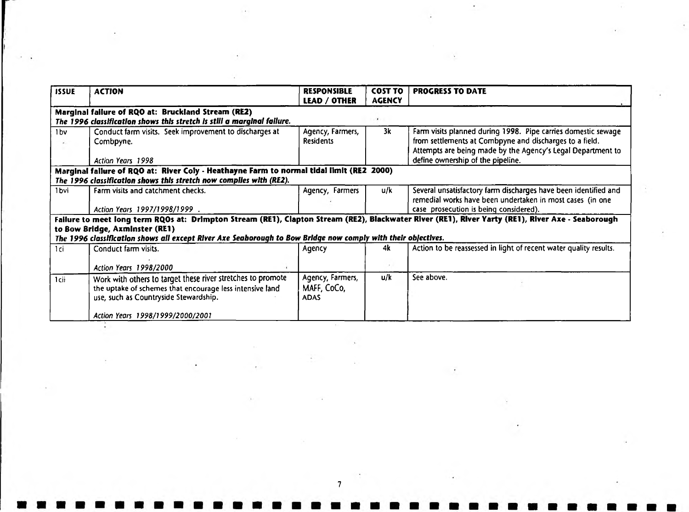| <b>ISSUE</b>     | <b>ACTION</b>                                                                                                                                                    | <b>RESPONSIBLE</b><br><b>LEAD / OTHER</b>      | <b>COST TO</b><br><b>AGENCY</b> | <b>PROGRESS TO DATE</b>                                                                                                                                                                                                      |
|------------------|------------------------------------------------------------------------------------------------------------------------------------------------------------------|------------------------------------------------|---------------------------------|------------------------------------------------------------------------------------------------------------------------------------------------------------------------------------------------------------------------------|
|                  | Marginal failure of RQO at: Bruckland Stream (RE2)<br>The 1996 classification shows this stretch is still a marginal failure.                                    |                                                | $\cdot$                         |                                                                                                                                                                                                                              |
| 1bv              | Conduct farm visits. Seek improvement to discharges at<br>Combpyne.<br>Action Years 1998                                                                         | Agency, Farmers,<br><b>Residents</b>           | 3k                              | Farm visits planned during 1998. Pipe carries domestic sewage<br>from settlements at Combpyne and discharges to a field.<br>Attempts are being made by the Agency's Legal Department to<br>define ownership of the pipeline. |
|                  | Marginal failure of RQO at: River Coly - Heathayne Farm to normal tidal limit (RE2 2000)<br>The 1996 classification shows this stretch now compiles with (RE2).  |                                                |                                 |                                                                                                                                                                                                                              |
| 1 <sub>bvi</sub> | Farm visits and catchment checks.<br>Action Years 1997/1998/1999.                                                                                                | Agency, Farmers                                | u/k                             | Several unsatisfactory farm discharges have been identified and<br>remedial works have been undertaken in most cases (in one<br>case prosecution is being considered).                                                       |
|                  | to Bow Bridge, Axminster (RE1)<br>The 1996 classification shows all except River Axe Seaborough to Bow Bridge now comply with their objectives.                  |                                                |                                 | Failure to meet long term RQOs at: Drimpton Stream (RE1), Clapton Stream (RE2), Blackwater River (RE1), River Yarty (RE1), River Axe - Seaborough                                                                            |
| 1ci              | Conduct farm visits.<br>Action Years 1998/2000                                                                                                                   | Agency                                         | 4k                              | Action to be reassessed in light of recent water quality results.                                                                                                                                                            |
| 1cii             | Work with others to target these river stretches to promote<br>the uptake of schemes that encourage less intensive land<br>use, such as Countryside Stewardship. | Agency, Farmers,<br>MAFF, CoCo,<br><b>ADAS</b> | u/k                             | See above.                                                                                                                                                                                                                   |
|                  | Action Years 1998/1999/2000/2001                                                                                                                                 |                                                |                                 |                                                                                                                                                                                                                              |

 $\mathcal{R}(\mathbf{r})$ 

 $\sim 20$ 

 $\mathcal{C}^{\mathcal{C}}$  .

 $7$   $\overline{7}$   $\overline{7}$   $\overline{7}$   $\overline{7}$   $\overline{7}$   $\overline{7}$   $\overline{7}$   $\overline{7}$   $\overline{7}$   $\overline{7}$   $\overline{7}$   $\overline{7}$   $\overline{7}$   $\overline{7}$   $\overline{7}$   $\overline{7}$   $\overline{7}$   $\overline{7}$   $\overline{7}$   $\overline{7}$   $\overline{7}$   $\overline{7}$   $\overline{7}$   $\overline{7}$ 

 $\mathcal{L}(\mathcal{L})$ 

 $\mathcal{O}(\mathbb{R}^n)$ 

 $\mathcal{A}$ 

 $\mathcal{O}(10^{-10})$ 

 $\frac{1}{2}$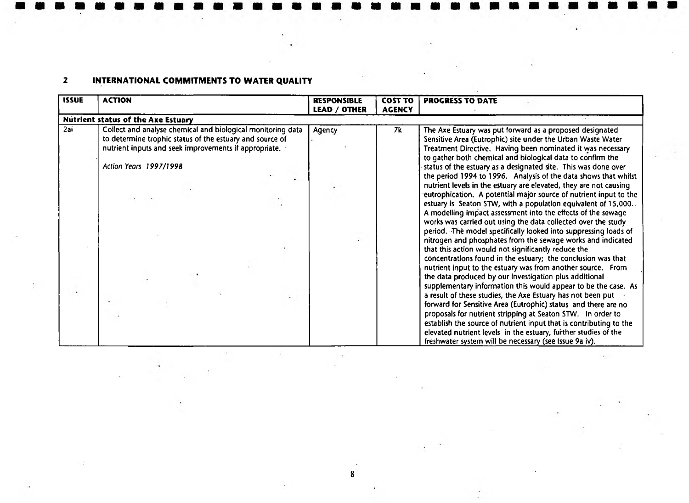# 2 INTERNATIONAL COMMITMENTS TO WATER QUALITY

| <b>ISSUE</b> | <b>ACTION</b>                                                                                                                                                                    | <b>RESPONSIBLE</b><br><b>LEAD / OTHER</b> | <b>COST TO</b><br><b>AGENCY</b> | <b>PROGRESS TO DATE</b>                                                                                                                                                                                                                                                                                                                                                                                                                                                                                                                                                                                                                                                                                                                                                                                                                                                                                                                                                                                                                                                                                                                                                                                                                                                                                                                                                                            |
|--------------|----------------------------------------------------------------------------------------------------------------------------------------------------------------------------------|-------------------------------------------|---------------------------------|----------------------------------------------------------------------------------------------------------------------------------------------------------------------------------------------------------------------------------------------------------------------------------------------------------------------------------------------------------------------------------------------------------------------------------------------------------------------------------------------------------------------------------------------------------------------------------------------------------------------------------------------------------------------------------------------------------------------------------------------------------------------------------------------------------------------------------------------------------------------------------------------------------------------------------------------------------------------------------------------------------------------------------------------------------------------------------------------------------------------------------------------------------------------------------------------------------------------------------------------------------------------------------------------------------------------------------------------------------------------------------------------------|
|              | <b>Nutrient status of the Axe Estuary</b>                                                                                                                                        |                                           |                                 |                                                                                                                                                                                                                                                                                                                                                                                                                                                                                                                                                                                                                                                                                                                                                                                                                                                                                                                                                                                                                                                                                                                                                                                                                                                                                                                                                                                                    |
| 2ai          | Collect and analyse chemical and biological monitoring data<br>to determine trophic status of the estuary and source of<br>nutrient inputs and seek improvements if appropriate. | Agency                                    | 7k                              | The Axe Estuary was put forward as a proposed designated<br>Sensitive Area (Eutrophic) site under the Urban Waste Water<br>Treatment Directive. Having been nominated it was necessary                                                                                                                                                                                                                                                                                                                                                                                                                                                                                                                                                                                                                                                                                                                                                                                                                                                                                                                                                                                                                                                                                                                                                                                                             |
|              | <b>Action Years 1997/1998</b>                                                                                                                                                    |                                           |                                 | to gather both chemical and biological data to confirm the<br>status of the estuary as a designated site. This was done over<br>the period 1994 to 1996. Analysis of the data shows that whilst<br>nutrient levels in the estuary are elevated, they are not causing<br>eutrophication. A potential major source of nutrient input to the<br>estuary is Seaton STW, with a population equivalent of 15,000<br>A modelling impact assessment into the effects of the sewage<br>works was carried out using the data collected over the study<br>period. The model specifically looked into suppressing loads of<br>nitrogen and phosphates from the sewage works and indicated<br>that this action would not significantly reduce the<br>concentrations found in the estuary; the conclusion was that<br>nutrient input to the estuary was from another source. From<br>the data produced by our investigation plus additional<br>supplementary information this would appear to be the case. As<br>a result of these studies, the Axe Estuary has not been put<br>forward for Sensitive Area (Eutrophic) status and there are no<br>proposals for nutrient stripping at Seaton STW. In order to<br>establish the source of nutrient input that is contributing to the<br>elevated nutrient levels in the estuary, further studies of the<br>freshwater system will be necessary (see Issue 9a iv). |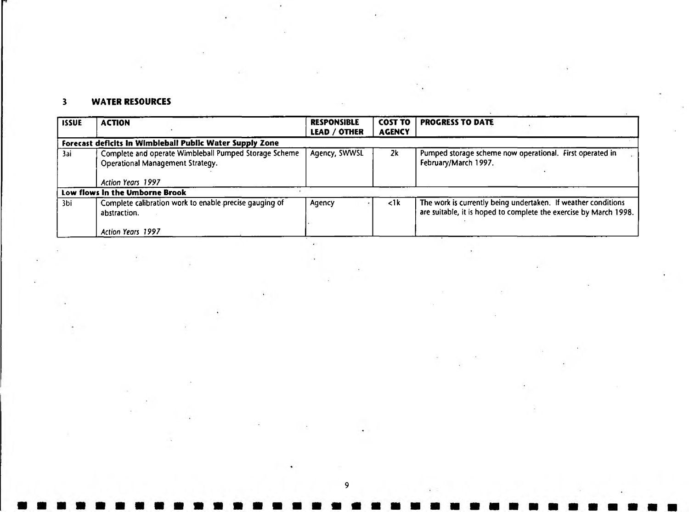# 3 WATER RESOURCES

| <b>ISSUE</b> | <b>ACTION</b>                                                                                                         | <b>RESPONSIBLE</b><br><b>LEAD / OTHER</b> | <b>COST TO</b><br><b>AGENCY</b> | <b>PROGRESS TO DATE</b>                                                                                                            |
|--------------|-----------------------------------------------------------------------------------------------------------------------|-------------------------------------------|---------------------------------|------------------------------------------------------------------------------------------------------------------------------------|
|              | Forecast deficits in Wimbleball Public Water Supply Zone                                                              |                                           |                                 |                                                                                                                                    |
| 3ai          | Complete and operate Wimbleball Pumped Storage Scheme<br><b>Operational Management Strategy.</b><br>Action Years 1997 | Agency, SWWSL                             | 2k                              | Pumped storage scheme now operational. First operated in<br>February/March 1997.                                                   |
|              | Low flows in the Umborne Brook                                                                                        |                                           |                                 |                                                                                                                                    |
| 3bi          | Complete calibration work to enable precise gauging of<br>abstraction.                                                | Agency                                    | $\leq$ 1 k                      | The work is currently being undertaken. If weather conditions<br>are suitable, it is hoped to complete the exercise by March 1998. |
|              | Action Years 1997                                                                                                     |                                           |                                 |                                                                                                                                    |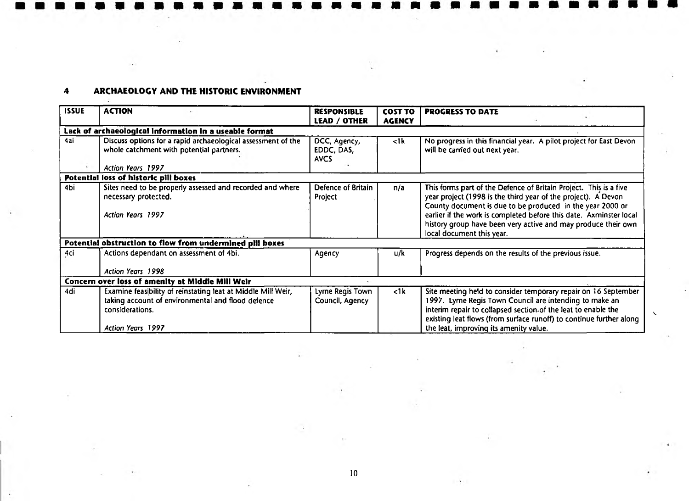# 4 ARCHAEOLOGY AND THE HISTORIC ENVIRONMENT

| <b>ISSUE</b> | <b>ACTION</b>                                                                                                                                             | <b>RESPONSIBLE</b><br><b>LEAD / OTHER</b> | <b>COST TO</b><br><b>AGENCY</b> | <b>PROGRESS TO DATE</b>                                                                                                                                                                                                                                                                                                                                             |
|--------------|-----------------------------------------------------------------------------------------------------------------------------------------------------------|-------------------------------------------|---------------------------------|---------------------------------------------------------------------------------------------------------------------------------------------------------------------------------------------------------------------------------------------------------------------------------------------------------------------------------------------------------------------|
|              | Lack of archaeological information in a useable format                                                                                                    |                                           |                                 |                                                                                                                                                                                                                                                                                                                                                                     |
| 4ai          | Discuss options for a rapid archaeological assessment of the<br>whole catchment with potential partners.<br><b>Action Years 1997</b>                      | DCC, Agency,<br>EDDC, DAS,<br>AVCS        | $\lt$ 1k                        | No progress in this financial year. A pilot project for East Devon<br>will be carried out next year.                                                                                                                                                                                                                                                                |
|              | Potential loss of historic pill boxes                                                                                                                     |                                           |                                 |                                                                                                                                                                                                                                                                                                                                                                     |
| 4bi          | Sites need to be properly assessed and recorded and where<br>necessary protected.<br>Action Years 1997                                                    | Defence of Britain<br>Project             | n/a                             | This forms part of the Defence of Britain Project. This is a five<br>year project (1998 is the third year of the project). A Devon<br>County document is due to be produced in the year 2000 or<br>earlier if the work is completed before this date. Axminster local<br>history group have been very active and may produce their own<br>local document this year. |
|              | Potential obstruction to flow from undermined pill boxes                                                                                                  |                                           |                                 |                                                                                                                                                                                                                                                                                                                                                                     |
| 4ci          | Actions dependant on assessment of 4bi.<br>Action Years 1998                                                                                              | Agency                                    | u/k                             | Progress depends on the results of the previous issue.                                                                                                                                                                                                                                                                                                              |
|              | Concern over loss of amenity at Middle Mill Weir                                                                                                          |                                           |                                 |                                                                                                                                                                                                                                                                                                                                                                     |
| 4di          | Examine feasibility of reinstating leat at Middle Mill Weir,<br>taking account of environmental and flood defence<br>considerations.<br>Action Years 1997 | Lyme Regis Town<br>Council, Agency        | $\langle$ 1k                    | Site meeting held to consider temporary repair on 16 September<br>1997. Lyme Regis Town Council are intending to make an<br>interim repair to collapsed section of the leat to enable the<br>existing leat flows (from surface runoff) to continue further along<br>the leat, improving its amenity value.                                                          |

V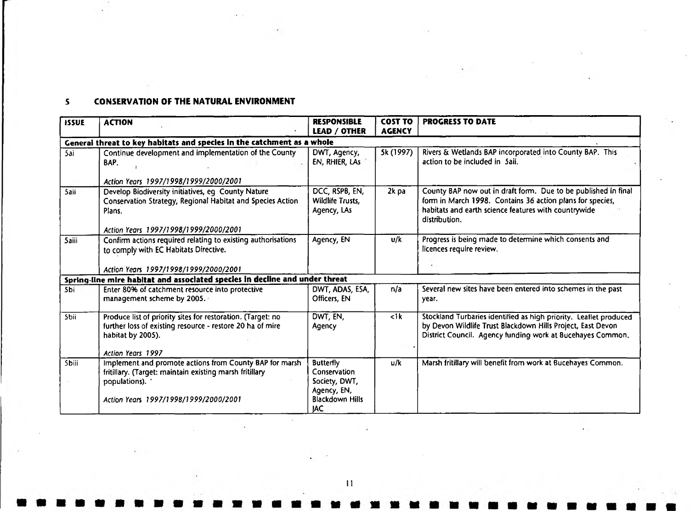# S CONSERVATION OF THE NATURAL ENVIRONMENT

| <b>ISSUE</b> | <b>ACTION</b>                                                                                                                                                       | <b>RESPONSIBLE</b><br><b>LEAD / OTHER</b>           | <b>COST TO</b><br><b>AGENCY</b> | <b>PROGRESS TO DATE</b>                                                                                                                                                                              |
|--------------|---------------------------------------------------------------------------------------------------------------------------------------------------------------------|-----------------------------------------------------|---------------------------------|------------------------------------------------------------------------------------------------------------------------------------------------------------------------------------------------------|
|              | General threat to key habitats and species in the catchment as a whole                                                                                              |                                                     |                                 |                                                                                                                                                                                                      |
| 5ai          | Continue development and implementation of the County<br>BAP.<br>Action Years 1997/1998/1999/2000/2001                                                              | DWT, Agency,<br>EN, RHIER, LAS                      | 5k (1997)                       | Rivers & Wetlands BAP incorporated into County BAP. This<br>action to be included in Saii.                                                                                                           |
| 5ail         | Develop Biodiversity initiatives, eg County Nature<br>Conservation Strategy, Regional Habitat and Species Action<br>Plans.<br>Action Years 1997/1998/1999/2000/2001 | DCC, RSPB, EN,<br>Wildlife Trusts,<br>Agency, LAs   | 2k pa                           | County BAP now out in draft form. Due to be published in final<br>form in March 1998. Contains 36 action plans for species,<br>habitats and earth science features with countrywide<br>distribution. |
| <b>Saiii</b> | Confirm actions required relating to existing authorisations<br>to comply with EC Habitats Directive.                                                               | Agency, EN                                          | u/k                             | Progress is being made to determine which consents and<br>licences require review.                                                                                                                   |
|              | Action Years 1997/1998/1999/2000/2001<br>Spring-line mire habitat and associated species in decline and under threat                                                |                                                     |                                 |                                                                                                                                                                                                      |
| <b>Sbi</b>   | Enter 80% of catchment resource into protective                                                                                                                     | DWT, ADAS, ESA,                                     | n/a                             | Several new sites have been entered into schemes in the past                                                                                                                                         |
|              | management scheme by 2005.                                                                                                                                          | Officers, EN                                        |                                 | year.                                                                                                                                                                                                |
| Sbii         | Produce list of priority sites for restoration. (Target: no<br>further loss of existing resource - restore 20 ha of mire<br>habitat by 2005).<br>Action Years 1997  | DWT, EN,<br>Agency                                  | $\leq$ 1 $k$                    | Stockland Turbaries identified as high priority. Leaflet produced<br>by Devon Wildlife Trust Blackdown Hills Project, East Devon<br>District Council. Agency funding work at Bucehayes Common.       |
| <b>Sbiii</b> | Implement and promote actions from County BAP for marsh                                                                                                             | <b>Butterfly</b>                                    | u/k                             | Marsh fritillary will benefit from work at Bucehayes Common.                                                                                                                                         |
|              | fritillary. (Target: maintain existing marsh fritillary<br>populations).                                                                                            | Conservation<br>Society, DWT,                       |                                 |                                                                                                                                                                                                      |
|              | Action Years 1997/1998/1999/2000/2001                                                                                                                               | Agency, EN,<br><b>Blackdown Hills</b><br><b>JAC</b> |                                 |                                                                                                                                                                                                      |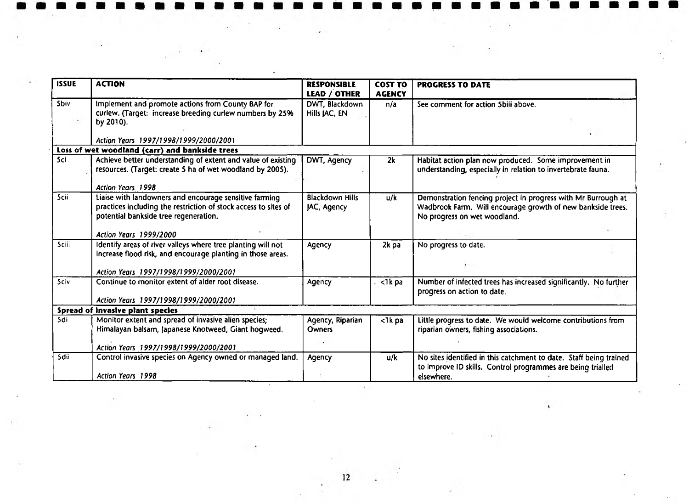| <b>ISSUE</b> | <b>ACTION</b>                                                                                                                                                      | <b>RESPONSIBLE</b><br><b>LEAD / OTHER</b> | <b>COST TO</b><br><b>AGENCY</b> | <b>PROGRESS TO DATE</b>                                                                                                                                      |
|--------------|--------------------------------------------------------------------------------------------------------------------------------------------------------------------|-------------------------------------------|---------------------------------|--------------------------------------------------------------------------------------------------------------------------------------------------------------|
| <b>Sbiv</b>  | Implement and promote actions from County BAP for<br>curlew. (Target: increase breeding curlew numbers by 25%<br>by 2010).                                         | DWT, Blackdown<br>Hills JAC, EN           | n/a                             | See comment for action 5biii above.                                                                                                                          |
|              | Action Years 1997/1998/1999/2000/2001                                                                                                                              |                                           |                                 |                                                                                                                                                              |
|              | Loss of wet woodland (carr) and bankside trees                                                                                                                     |                                           |                                 |                                                                                                                                                              |
| <b>Sci</b>   | Achieve better understanding of extent and value of existing<br>resources. (Target: create 5 ha of wet woodland by 2005).                                          | DWT, Agency                               | 2k                              | Habitat action plan now produced. Some improvement in<br>understanding, especially in relation to invertebrate fauna.                                        |
|              | <b>Action Years 1998</b>                                                                                                                                           |                                           |                                 |                                                                                                                                                              |
| Scii         | Liaise with landowners and encourage sensitive farming<br>practices including the restriction of stock access to sites of<br>potential bankside tree regeneration. | <b>Blackdown Hills</b><br>JAC, Agency     | u/k                             | Demonstration fencing project in progress with Mr Burrough at<br>Wadbrook Farm. Will encourage growth of new bankside trees.<br>No progress on wet woodland. |
|              | Action Years 1999/2000                                                                                                                                             |                                           |                                 |                                                                                                                                                              |
| <b>Sciii</b> | Identify areas of river valleys where tree planting will not<br>increase flood risk, and encourage planting in those areas.                                        | Agency                                    | 2k pa                           | No progress to date.                                                                                                                                         |
|              | Action Years 1997/1998/1999/2000/2001                                                                                                                              |                                           |                                 |                                                                                                                                                              |
| <b>Sciv</b>  | Continue to monitor extent of alder root disease.                                                                                                                  | Agency                                    | $\sqrt{1}$ k pa                 | Number of infected trees has increased significantly. No further<br>progress on action to date.                                                              |
|              | Action Years 1997/1998/1999/2000/2001                                                                                                                              |                                           |                                 |                                                                                                                                                              |
|              | Spread of invasive plant species                                                                                                                                   |                                           |                                 |                                                                                                                                                              |
| 5di          | Monitor extent and spread of invasive alien species;<br>Himalayan balsam, Japanese Knotweed, Giant hogweed.                                                        | Agency, Riparian<br><b>Owners</b>         | $lt$ 1 $k$ pa                   | Little progress to date. We would welcome contributions from<br>riparian owners, fishing associations.                                                       |
|              | Action Years 1997/1998/1999/2000/2001                                                                                                                              |                                           |                                 |                                                                                                                                                              |
| Sdii         | Control invasive species on Agency owned or managed land.                                                                                                          | Agency                                    | u/k                             | No sites identified in this catchment to date. Staff being trained<br>to improve ID skills. Control programmes are being trialled                            |
|              | Action Years 1998                                                                                                                                                  |                                           |                                 | elsewhere.                                                                                                                                                   |

 $12<sup>°</sup>$ 

 $\sim$   $\sim$ 

an shekara ta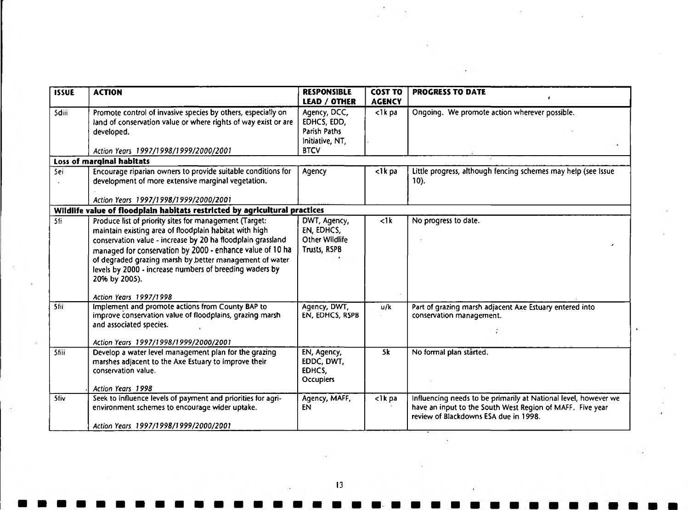| <b>ISSUE</b> | <b>ACTION</b>                                                                                                                                                                                                                                                                                                                                                                                                 | <b>RESPONSIBLE</b><br><b>LEAD / OTHER</b>                                     | <b>COST TO</b><br><b>AGENCY</b> | <b>PROGRESS TO DATE</b>                                                                                                                                               |
|--------------|---------------------------------------------------------------------------------------------------------------------------------------------------------------------------------------------------------------------------------------------------------------------------------------------------------------------------------------------------------------------------------------------------------------|-------------------------------------------------------------------------------|---------------------------------|-----------------------------------------------------------------------------------------------------------------------------------------------------------------------|
| <b>Sdiii</b> | Promote control of invasive species by others, especially on<br>land of conservation value or where rights of way exist or are<br>developed.<br>Action Years 1997/1998/1999/2000/2001                                                                                                                                                                                                                         | Agency, DCC,<br>EDHCS, EDD,<br>Parish Paths<br>Initiative, NT,<br><b>BTCV</b> | $lt;1k$ pa                      | Ongoing. We promote action wherever possible.                                                                                                                         |
|              | Loss of marginal habitats                                                                                                                                                                                                                                                                                                                                                                                     |                                                                               |                                 |                                                                                                                                                                       |
| 5ei          | Encourage riparian owners to provide suitable conditions for<br>development of more extensive marginal vegetation.                                                                                                                                                                                                                                                                                            | Agency                                                                        | <1k pa                          | Little progress, although fencing schemes may help (see Issue<br>$10$ ).                                                                                              |
|              | Action Years 1997/1998/1999/2000/2001                                                                                                                                                                                                                                                                                                                                                                         |                                                                               |                                 |                                                                                                                                                                       |
|              | Wildlife value of floodplain habitats restricted by agricultural practices                                                                                                                                                                                                                                                                                                                                    |                                                                               |                                 |                                                                                                                                                                       |
| 5fi          | Produce list of priority sites for management (Target:<br>maintain existing area of floodplain habitat with high<br>conservation value - increase by 20 ha floodplain grassland<br>managed for conservation by 2000 - enhance value of 10 ha<br>of degraded grazing marsh by better management of water<br>levels by 2000 - increase numbers of breeding waders by<br>20% by 2005).<br>Action Years 1997/1998 | DWT, Agency,<br>EN, EDHCS,<br>Other Wildlife<br>Trusts, RSPB                  | $\langle$ 1k                    | No progress to date.                                                                                                                                                  |
| 5fii         | Implement and promote actions from County BAP to<br>improve conservation value of floodplains, grazing marsh<br>and associated species.<br>Action Years 1997/1998/1999/2000/2001                                                                                                                                                                                                                              | Agency, DWT,<br>EN, EDHCS, RSPB                                               | u/k                             | Part of grazing marsh adjacent Axe Estuary entered into<br>conservation management.                                                                                   |
| <b>Sfiii</b> | Develop a water level management plan for the grazing<br>marshes adjacent to the Axe Estuary to improve their<br>conservation value.<br>Action Years 1998                                                                                                                                                                                                                                                     | EN, Agency,<br>EDDC, DWT,<br>EDHCS,<br><b>Occupiers</b>                       | 5k                              | No formal plan started.                                                                                                                                               |
| <b>5fiv</b>  | Seek to influence levels of payment and priorities for agri-<br>environment schemes to encourage wider uptake.<br>Action Years 1997/1998/1999/2000/2001                                                                                                                                                                                                                                                       | Agency, MAFF,<br>EN                                                           | $\langle$ 1 $k$ pa              | Influencing needs to be primarily at National level, however we<br>have an input to the South West Region of MAFF. Five year<br>review of Blackdowns ESA due in 1998. |

 $\sim$   $\sim$ 

13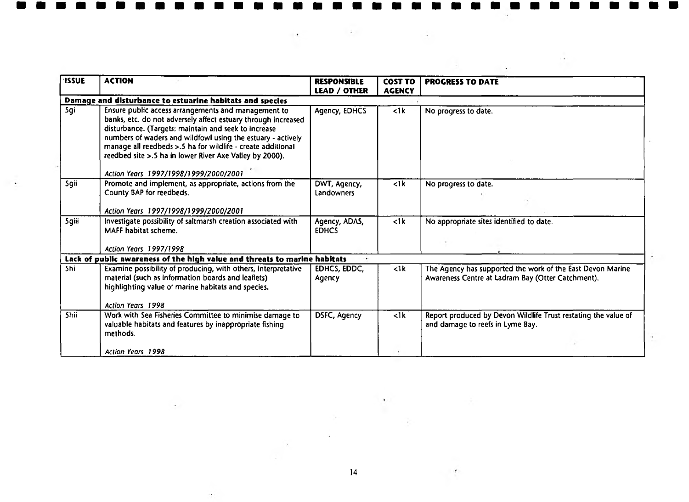| <b>ISSUE</b> | <b>ACTION</b>                                                                                                                                                                                                                                                                                                                                                         | <b>RESPONSIBLE</b><br><b>LEAD / OTHER</b> | <b>COST TO</b><br><b>AGENCY</b> | <b>PROGRESS TO DATE</b>                                                                                         |
|--------------|-----------------------------------------------------------------------------------------------------------------------------------------------------------------------------------------------------------------------------------------------------------------------------------------------------------------------------------------------------------------------|-------------------------------------------|---------------------------------|-----------------------------------------------------------------------------------------------------------------|
|              | Damage and disturbance to estuarine habitats and species                                                                                                                                                                                                                                                                                                              |                                           |                                 |                                                                                                                 |
| Sgi          | Ensure public access arrangements and management to<br>banks, etc. do not adversely affect estuary through increased<br>disturbance. (Targets: maintain and seek to increase<br>numbers of waders and wildfowl using the estuary - actively<br>manage all reedbeds >.5 ha for wildlife - create additional<br>reedbed site >.5 ha in lower River Axe Valley by 2000). | Agency, EDHCS                             | $\langle$ 1 $k$                 | No progress to date.                                                                                            |
|              | Action Years 1997/1998/1999/2000/2001                                                                                                                                                                                                                                                                                                                                 |                                           |                                 |                                                                                                                 |
| <b>Sgii</b>  | Promote and implement, as appropriate, actions from the<br>County BAP for reedbeds.                                                                                                                                                                                                                                                                                   | DWT, Agency,<br>Landowners                | $\leq$ 1 k                      | No progress to date.                                                                                            |
|              | Action Years 1997/1998/1999/2000/2001                                                                                                                                                                                                                                                                                                                                 |                                           |                                 |                                                                                                                 |
| Sgiii        | Investigate possibility of saltmarsh creation associated with<br>MAFF habitat scheme.<br>Action Years 1997/1998                                                                                                                                                                                                                                                       | Agency, ADAS,<br><b>EDHCS</b>             | $\langle$ 1 $k$                 | No appropriate sites identified to date.                                                                        |
|              | Lack of public awareness of the high value and threats to marine habitats                                                                                                                                                                                                                                                                                             |                                           |                                 |                                                                                                                 |
| 5hi          | Examine possibility of producing, with others, interpretative<br>material (such as information boards and leaflets)<br>highlighting value of marine habitats and species.                                                                                                                                                                                             | EDHCS, EDDC,<br>Agency                    | $\leq$ 1 $k$                    | The Agency has supported the work of the East Devon Marine<br>Awareness Centre at Ladram Bay (Otter Catchment). |
|              | <b>Action Years 1998</b>                                                                                                                                                                                                                                                                                                                                              |                                           |                                 |                                                                                                                 |
| <b>Shii</b>  | Work with Sea Fisheries Committee to minimise damage to<br>valuable habitats and features by inappropriate fishing<br>methods.                                                                                                                                                                                                                                        | DSFC, Agency                              | $\overline{dk}$                 | Report produced by Devon Wildlife Trust restating the value of<br>and damage to reefs in Lyme Bay.              |
|              |                                                                                                                                                                                                                                                                                                                                                                       |                                           |                                 |                                                                                                                 |
|              | Action Years 1998                                                                                                                                                                                                                                                                                                                                                     |                                           |                                 |                                                                                                                 |

 $\bar{\star}$ 

ù.

 $\alpha$ 

 $\ddot{\phantom{1}}$ 

14

 $\pmb{\mathcal{S}}$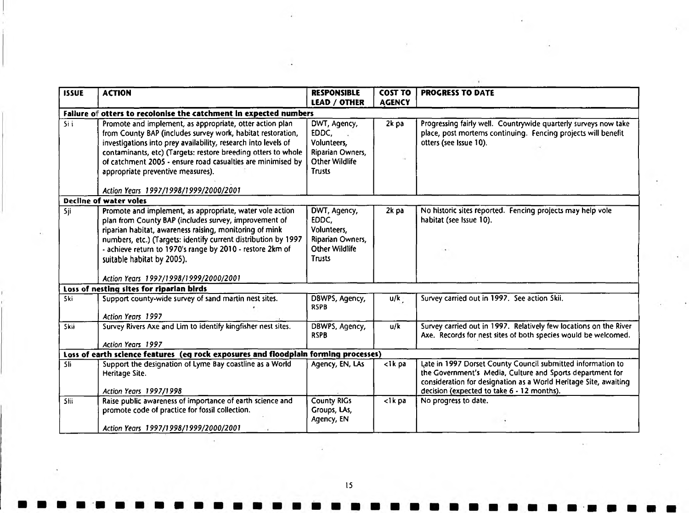| <b>ISSUE</b>                       | <b>ACTION</b>                                                                                                                                                                                                                                                                                                                                                  | <b>RESPONSIBLE</b>                                                                         | <b>COST TO</b> | <b>PROGRESS TO DATE</b>                                                                                                                                                                                                                    |
|------------------------------------|----------------------------------------------------------------------------------------------------------------------------------------------------------------------------------------------------------------------------------------------------------------------------------------------------------------------------------------------------------------|--------------------------------------------------------------------------------------------|----------------|--------------------------------------------------------------------------------------------------------------------------------------------------------------------------------------------------------------------------------------------|
|                                    |                                                                                                                                                                                                                                                                                                                                                                | <b>LEAD / OTHER</b>                                                                        | <b>AGENCY</b>  |                                                                                                                                                                                                                                            |
|                                    | Failure of otters to recolonise the catchment in expected numbers                                                                                                                                                                                                                                                                                              |                                                                                            |                |                                                                                                                                                                                                                                            |
| $\overline{5}$ i i                 | Promote and implement, as appropriate, otter action plan<br>from County BAP (includes survey work, habitat restoration,<br>investigations into prey availability, research into levels of<br>contaminants, etc) (Targets: restore breeding otters to whole<br>of catchment 2005 - ensure road casualties are minimised by<br>appropriate preventive measures). | DWT, Agency,<br>EDDC,<br>Volunteers,<br>Riparian Owners,<br>Other Wildlife<br>Trusts       | 2k pa          | Progressing fairly well. Countrywide quarterly surveys now take<br>place, post mortems continuing. Fencing projects will benefit<br>otters (see Issue 10).                                                                                 |
|                                    | Action Years 1997/1998/1999/2000/2001                                                                                                                                                                                                                                                                                                                          |                                                                                            |                |                                                                                                                                                                                                                                            |
|                                    | <b>Decline of water voles</b>                                                                                                                                                                                                                                                                                                                                  |                                                                                            |                |                                                                                                                                                                                                                                            |
| $5j$ i                             | Promote and implement, as appropriate, water vole action<br>plan from County BAP (includes survey, improvement of<br>riparian habitat, awareness raising, monitoring of mink<br>numbers, etc.) (Targets: identify current distribution by 1997<br>- achieve return to 1970's range by 2010 - restore 2km of                                                    | DWT, Agency,<br>EDDC,<br>Volunteers,<br>Ripanan Owners,<br><b>Other Wildlife</b><br>Trusts | 2k pa          | No historic sites reported. Fencing projects may help vole<br>habitat (see Issue 10).                                                                                                                                                      |
|                                    | suitable habitat by 2005).<br>Action Years 1997/1998/1999/2000/2001                                                                                                                                                                                                                                                                                            |                                                                                            |                |                                                                                                                                                                                                                                            |
|                                    | Loss of nesting sites for riparian birds                                                                                                                                                                                                                                                                                                                       |                                                                                            |                |                                                                                                                                                                                                                                            |
| $\overline{\overline{\text{Ski}}}$ | Support county-wide survey of sand martin nest sites.<br>Action Years 1997                                                                                                                                                                                                                                                                                     | DBWPS, Agency,<br><b>RSPB</b>                                                              | u/k            | Survey carried out in 1997. See action Skii.                                                                                                                                                                                               |
| <b>Skii</b>                        | Survey Rivers Axe and Lim to identify kingfisher nest sites.<br>Action Years 1997                                                                                                                                                                                                                                                                              | DBWPS, Agency,<br><b>RSPB</b>                                                              | u/k            | Survey carried out in 1997. Relatively few locations on the River<br>Axe. Records for nest sites of both species would be welcomed.                                                                                                        |
|                                    | Loss of earth science features (eg rock exposures and floodplain forming processes)                                                                                                                                                                                                                                                                            |                                                                                            |                |                                                                                                                                                                                                                                            |
| 5li                                | Support the designation of Lyme Bay coastline as a World<br>Heritage Site.<br>Action Years 1997/1998                                                                                                                                                                                                                                                           | Agency, EN, LAs                                                                            | <1k pa         | Late in 1997 Dorset County Council submitted information to<br>the Government's Media, Culture and Sports department for<br>consideration for designation as a World Heritage Site, awaiting<br>decision (expected to take 6 - 12 months). |
| <b>Slii</b>                        | Raise public awareness of importance of earth science and<br>promote code of practice for fossil collection.<br>Action Years 1997/1998/1999/2000/2001                                                                                                                                                                                                          | <b>County RIGS</b><br>Groups, LAs,<br>Agency, EN                                           | $lt$ 1 $k$ pa  | No progress to date.                                                                                                                                                                                                                       |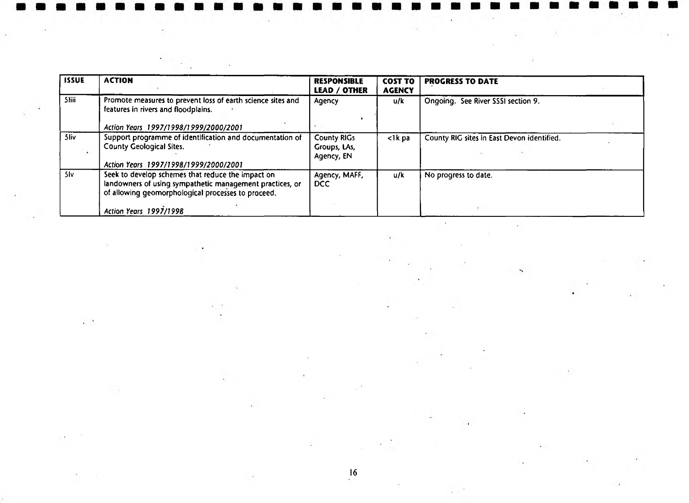| <b>ISSUE</b> | <b>ACTION</b>                                                                                                                                                       | <b>RESPONSIBLE</b><br><b>LEAD / OTHER</b>        | <b>COST TO</b><br><b>AGENCY</b> | <b>PROGRESS TO DATE</b>                    |  |
|--------------|---------------------------------------------------------------------------------------------------------------------------------------------------------------------|--------------------------------------------------|---------------------------------|--------------------------------------------|--|
| <b>Sliii</b> | Promote measures to prevent loss of earth science sites and<br>features in rivers and floodplains.                                                                  | Agency                                           | u/k                             | Ongoing. See River SSSI section 9.         |  |
|              | Action Years 1997/1998/1999/2000/2001                                                                                                                               |                                                  |                                 |                                            |  |
| 5liv         | Support programme of identification and documentation of<br><b>County Geological Sites.</b><br>Action Years 1997/1998/1999/2000/2001                                | <b>County RIGs</b><br>Groups, LAs,<br>Agency, EN | <1k pa                          | County RIG sites in East Devon identified. |  |
| 5lv          | Seek to develop schemes that reduce the impact on<br>landowners of using sympathetic management practices, or<br>of allowing geomorphological processes to proceed. | Agency, MAFF,<br>DCC.                            | u/k                             | No progress to date.                       |  |
|              | Action Years 1997/1998                                                                                                                                              |                                                  |                                 |                                            |  |

all collections.

 $\tilde{\mathcal{E}}$ 

 $\cdot$ 

 $\ddot{\phantom{1}}$ 

**WELL FOR**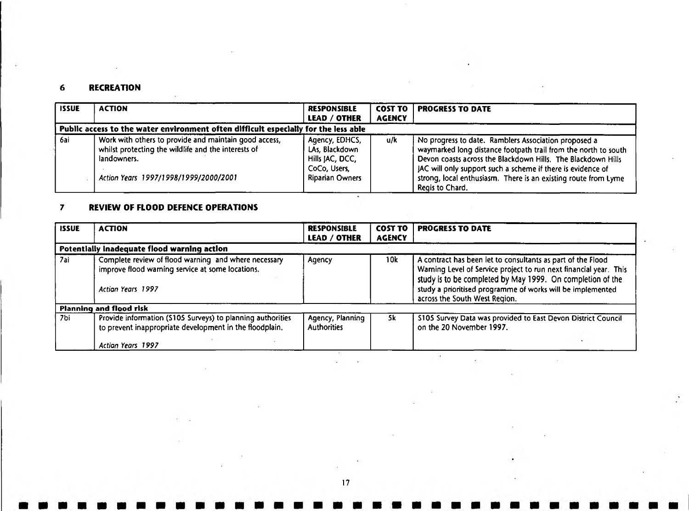# 6 RECREATION

| <b>ISSUE</b> | <b>ACTION</b>                                                                                                                                                        | <b>RESPONSIBLE</b><br><b>LEAD / OTHER</b>                                                     | <b>COST TO</b><br><b>AGENCY</b> | <b>PROGRESS TO DATE</b>                                                                                                                                                                                                                                                                                                                    |
|--------------|----------------------------------------------------------------------------------------------------------------------------------------------------------------------|-----------------------------------------------------------------------------------------------|---------------------------------|--------------------------------------------------------------------------------------------------------------------------------------------------------------------------------------------------------------------------------------------------------------------------------------------------------------------------------------------|
|              | Public access to the water environment often difficult especially for the less able                                                                                  |                                                                                               |                                 |                                                                                                                                                                                                                                                                                                                                            |
| 6ai          | Work with others to provide and maintain good access,<br>whilst protecting the wildlife and the interests of<br>landowners.<br>Action Years 1997/1998/1999/2000/2001 | Agency, EDHCS,<br>LAs, Blackdown<br>Hills JAC, DCC,<br>CoCo, Users,<br><b>Riparian Owners</b> | u/k                             | No progress to date. Ramblers Association proposed a<br>waymarked long distance footpath trail from the north to south<br>Devon coasts across the Blackdown Hills. The Blackdown Hills<br>JAC will only support such a scheme if there is evidence of<br>strong, local enthusiasm. There is an existing route from Lyme<br>Regis to Chard. |

# 7 REVIEW OF FLOOD DEFENCE OPERATIONS

| <b>ISSUE</b> | <b>ACTION</b>                                                                                                                 | <b>RESPONSIBLE</b><br><b>LEAD / OTHER</b> | <b>COST TO</b><br><b>AGENCY</b> | <b>PROGRESS TO DATE</b>                                                                                                                                                                                                                                                                       |
|--------------|-------------------------------------------------------------------------------------------------------------------------------|-------------------------------------------|---------------------------------|-----------------------------------------------------------------------------------------------------------------------------------------------------------------------------------------------------------------------------------------------------------------------------------------------|
|              | Potentially inadequate flood warning action                                                                                   |                                           |                                 |                                                                                                                                                                                                                                                                                               |
| 7ai          | Complete review of flood warning and where necessary<br>improve flood warning service at some locations.<br>Action Years 1997 | Agency                                    | 10k                             | A contract has been let to consultants as part of the Flood<br>Warning Level of Service project to run next financial year. This<br>study is to be completed by May 1999. On completion of the<br>study a prioritised programme of works will be implemented<br>across the South West Region. |
|              | Planning and flood risk                                                                                                       |                                           |                                 |                                                                                                                                                                                                                                                                                               |
| 7bi          | Provide information (S105 Surveys) to planning authorities<br>to prevent inappropriate development in the floodplain.         | Agency, Planning<br><b>Authorities</b>    | 5k                              | \$105 Survey Data was provided to East Devon District Council<br>on the 20 November 1997.                                                                                                                                                                                                     |
|              | Action Years 1997                                                                                                             |                                           |                                 |                                                                                                                                                                                                                                                                                               |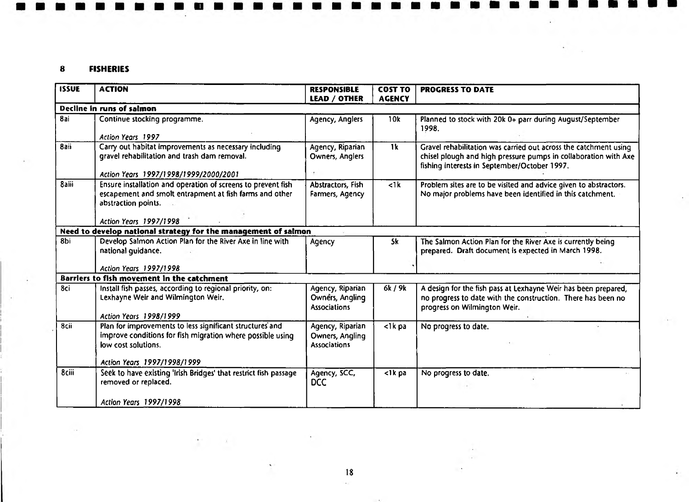# 8 FISHERIES

| <b>ISSUE</b> | <b>ACTION</b>                                                                                                                                                                | <b>RESPONSIBLE</b>                                         | <b>COST TO</b> | <b>PROGRESS TO DATE</b>                                                                                                                                                             |
|--------------|------------------------------------------------------------------------------------------------------------------------------------------------------------------------------|------------------------------------------------------------|----------------|-------------------------------------------------------------------------------------------------------------------------------------------------------------------------------------|
|              |                                                                                                                                                                              | LEAD / OTHER                                               | <b>AGENCY</b>  |                                                                                                                                                                                     |
|              | Decline in runs of salmon                                                                                                                                                    |                                                            |                |                                                                                                                                                                                     |
| 8ai          | Continue stocking programme.                                                                                                                                                 | Agency, Anglers                                            | 10k            | Planned to stock with 20k 0+ parr during August/September<br>1998.                                                                                                                  |
|              | Action Years 1997                                                                                                                                                            |                                                            |                |                                                                                                                                                                                     |
| 8aii         | Carry out habitat improvements as necessary including<br>gravel rehabilitation and trash dam removal.                                                                        | Agency, Riparian<br>Owners, Anglers                        | 1k             | Gravel rehabilitation was carried out across the catchment using<br>chisel plough and high pressure pumps in collaboration with Axe<br>fishing interests in September/October 1997. |
|              | Action Years 1997/1998/1999/2000/2001                                                                                                                                        |                                                            |                |                                                                                                                                                                                     |
| <b>8aiii</b> | Ensure installation and operation of screens to prevent fish<br>escapement and smolt entrapment at fish farms and other<br>abstraction points.<br>Action Years 1997/1998     | Abstractors, Fish<br>Farmers, Agency                       | $<$ 1 $k$      | Problem sites are to be visited and advice given to abstractors.<br>No major problems have been identified in this catchment.                                                       |
|              |                                                                                                                                                                              |                                                            |                |                                                                                                                                                                                     |
|              | Need to develop national strategy for the management of salmon                                                                                                               |                                                            |                |                                                                                                                                                                                     |
| 8bi          | Develop Salmon Action Plan for the River Axe in line with<br>national quidance.                                                                                              | Agency                                                     | 5k             | The Salmon Action Plan for the River Axe is currently being<br>prepared. Draft document is expected in March 1998.                                                                  |
|              | <b>Action Years 1997/1998</b>                                                                                                                                                |                                                            |                |                                                                                                                                                                                     |
|              | Barriers to fish movement in the catchment                                                                                                                                   |                                                            |                |                                                                                                                                                                                     |
| 8ci          | Install fish passes, according to regional priority, on:<br>Lexhayne Weir and Wilmington Weir.<br>Action Years 1998/1999                                                     | Agency, Riparian<br>Owners, Angling<br><b>Associations</b> | 6k / 9k        | A design for the fish pass at Lexhayne Weir has been prepared,<br>no progress to date with the construction. There has been no<br>progress on Wilmington Weir.                      |
| 8cii         | Plan for improvements to less significant structures and<br>improve conditions for fish migration where possible using<br>low cost solutions.<br>Action Years 1997/1998/1999 | Agency, Riparian<br>Owners, Angling<br><b>Associations</b> | $<$ 1 $k$ pa   | No progress to date.                                                                                                                                                                |
| 8ciii        |                                                                                                                                                                              |                                                            |                |                                                                                                                                                                                     |
|              | Seek to have existing 'Irish Bridges' that restrict fish passage<br>removed or replaced.                                                                                     | Agency, SCC,<br><b>DCC</b>                                 | <1k pa         | No progress to date.                                                                                                                                                                |
|              | Action Years 1997/1998                                                                                                                                                       |                                                            |                |                                                                                                                                                                                     |

18 $\mathcal{L}^{\mathcal{L}}$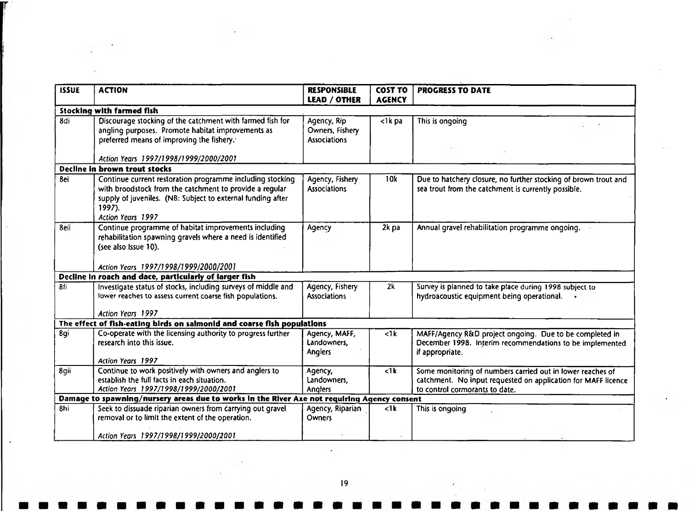| <b>ISSUE</b> | <b>ACTION</b>                                                                                                                                                                                                      | <b>RESPONSIBLE</b><br><b>LEAD / OTHER</b>             | <b>COST TO</b><br><b>AGENCY</b> | <b>PROGRESS TO DATE</b>                                                                                                                                       |  |  |  |
|--------------|--------------------------------------------------------------------------------------------------------------------------------------------------------------------------------------------------------------------|-------------------------------------------------------|---------------------------------|---------------------------------------------------------------------------------------------------------------------------------------------------------------|--|--|--|
|              | <b>Stocking with farmed fish</b>                                                                                                                                                                                   |                                                       |                                 |                                                                                                                                                               |  |  |  |
| 8di          | Discourage stocking of the catchment with farmed fish for<br>angling purposes. Promote habitat improvements as<br>preferred means of improving the fishery.                                                        | Agency, Rip<br>Owners, Fishery<br><b>Associations</b> | $<$ 1 $k$ pa                    | This is ongoing                                                                                                                                               |  |  |  |
|              | Action Years 1997/1998/1999/2000/2001                                                                                                                                                                              |                                                       |                                 |                                                                                                                                                               |  |  |  |
|              | Decline in brown trout stocks                                                                                                                                                                                      |                                                       |                                 |                                                                                                                                                               |  |  |  |
| 8ei          | Continue current restoration programme including stocking<br>with broodstock from the catchment to provide a regular<br>supply of juveniles. (NB: Subject to external funding after<br>1997).<br>Action Years 1997 | Agency, Fishery<br><b>Associations</b>                | 10k                             | Due to hatchery closure, no further stocking of brown trout and<br>sea trout from the catchment is currently possible.                                        |  |  |  |
| 8eii         | Continue programme of habitat improvements including<br>rehabilitation spawning gravels where a need is identified<br>(see also Issue 10).<br>Action Years 1997/1998/1999/2000/2001                                | Agency                                                | 2k pa                           | Annual gravel rehabilitation programme ongoing.                                                                                                               |  |  |  |
|              | Decline in roach and dace, particularly of larger fish                                                                                                                                                             |                                                       |                                 |                                                                                                                                                               |  |  |  |
| 8fi          | Investigate status of stocks, including surveys of middle and<br>lower reaches to assess current coarse fish populations.<br>Action Years 1997                                                                     | Agency, Fishery<br><b>Associations</b>                | 2k                              | Survey is planned to take place during 1998 subject to<br>hydroacoustic equipment being operational.                                                          |  |  |  |
|              | The effect of fish-eating birds on salmonid and coarse fish populations                                                                                                                                            |                                                       |                                 |                                                                                                                                                               |  |  |  |
| 8gi          | Co-operate with the licensing authority to progress further<br>research into this issue.<br>Action Years 1997                                                                                                      | Agency, MAFF,<br>Landowners,<br><b>Anglers</b>        | $\leq$ 1 $k$                    | MAFF/Agency R&D project ongoing. Due to be completed in<br>December 1998. Interim recommendations to be implemented<br>if appropriate.                        |  |  |  |
| 8gii         | Continue to work positively with owners and anglers to<br>establish the full facts in each situation.<br>Action Years 1997/1998/1999/2000/2001                                                                     | Agency,<br>Landowners,<br>Anglers                     | $\overline{dk}$                 | Some monitoring of numbers carried out in lower reaches of<br>catchment. No input requested on application for MAFF licence<br>to control cormorants to date. |  |  |  |
|              | Damage to spawning/nursery areas due to works in the River Axe not requiring Agency consent                                                                                                                        |                                                       |                                 |                                                                                                                                                               |  |  |  |
| 8hi          | Seek to dissuade riparian owners from carrying out gravel<br>removal or to limit the extent of the operation.                                                                                                      | Agency, Riparian<br><b>Owners</b>                     | $\langle$ 1k                    | This is ongoing                                                                                                                                               |  |  |  |
|              | Action Years 1997/1998/1999/2000/2001                                                                                                                                                                              |                                                       |                                 |                                                                                                                                                               |  |  |  |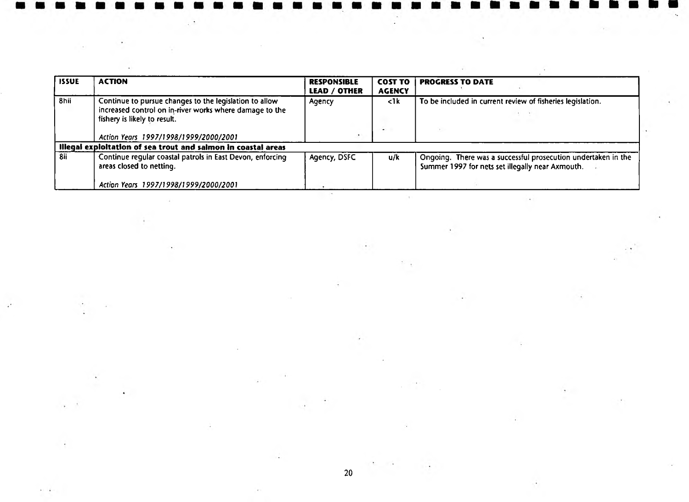| <b>ISSUE</b> | <b>ACTION</b>                                                                                                                                     | <b>RESPONSIBLE</b><br>LEAD / OTHER | <b>COST TO</b><br><b>AGENCY</b> | <b>PROGRESS TO DATE</b>                                                                                           |
|--------------|---------------------------------------------------------------------------------------------------------------------------------------------------|------------------------------------|---------------------------------|-------------------------------------------------------------------------------------------------------------------|
| 8hii         | Continue to pursue changes to the legislation to allow<br>increased control on in-river works where damage to the<br>fishery is likely to result. | Agency                             | $\leq$ 1 k<br>$\blacksquare$    | To be included in current review of fisheries legislation.                                                        |
|              | Action Years 1997/1998/1999/2000/2001                                                                                                             |                                    |                                 |                                                                                                                   |
|              | Illegal exploitation of sea trout and salmon in coastal areas                                                                                     |                                    |                                 |                                                                                                                   |
| 8ii          | Continue regular coastal patrols in East Devon, enforcing<br>areas closed to netting.                                                             | Agency, DSFC                       | u/k                             | Ongoing. There was a successful prosecution undertaken in the<br>Summer 1997 for nets set illegally near Axmouth. |
|              | Action Years 1997/1998/1999/2000/2001                                                                                                             |                                    |                                 |                                                                                                                   |

 $\sim$ 

 $\Delta \phi_{\rm{eff}}$ 

 $\mathcal{L}=\mathbb{R}^{N}$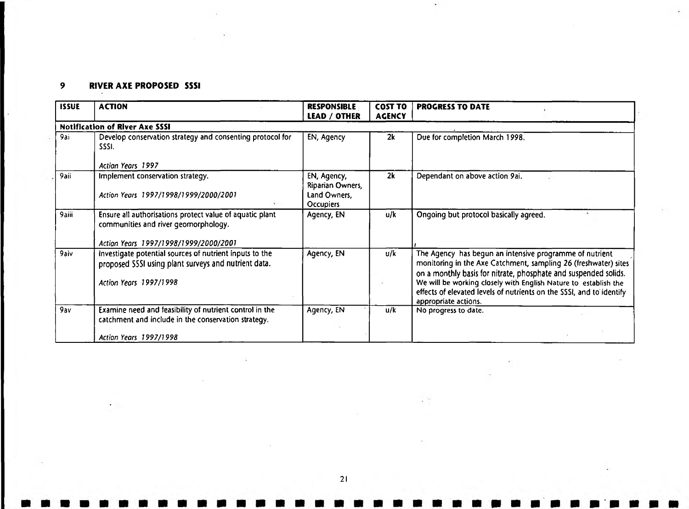# *9* RIVER AXE PROPOSED SSSI

| <b>ISSUE</b> | <b>ACTION</b>                                                                                                                             | <b>RESPONSIBLE</b><br><b>LEAD / OTHER</b>                           | <b>COST TO</b><br><b>AGENCY</b> | <b>PROGRESS TO DATE</b>                                                                                                                                                                                                                                                                                                                                          |
|--------------|-------------------------------------------------------------------------------------------------------------------------------------------|---------------------------------------------------------------------|---------------------------------|------------------------------------------------------------------------------------------------------------------------------------------------------------------------------------------------------------------------------------------------------------------------------------------------------------------------------------------------------------------|
|              | <b>Notification of River Axe SSSI</b>                                                                                                     |                                                                     |                                 |                                                                                                                                                                                                                                                                                                                                                                  |
| 9ai          | Develop conservation strategy and consenting protocol for<br>SSSI.                                                                        | EN, Agency                                                          | 2k                              | Due for completion March 1998.                                                                                                                                                                                                                                                                                                                                   |
|              | Action Years 1997                                                                                                                         |                                                                     |                                 |                                                                                                                                                                                                                                                                                                                                                                  |
| 9aii         | Implement conservation strategy.<br>Action Years 1997/1998/1999/2000/2001                                                                 | EN, Agency,<br>Riparian Owners,<br>Land Owners,<br><b>Occupiers</b> | 2k                              | Dependant on above action 9ai.                                                                                                                                                                                                                                                                                                                                   |
| 9aiii        | Ensure all authorisations protect value of aquatic plant<br>communities and river geomorphology.<br>Action Years 1997/1998/1999/2000/2001 | Agency, EN                                                          | u/k                             | Ongoing but protocol basically agreed.                                                                                                                                                                                                                                                                                                                           |
| 9aiv         | Investigate potential sources of nutrient inputs to the<br>proposed SSSI using plant surveys and nutrient data.<br>Action Years 1997/1998 | Agency, EN                                                          | u/k                             | The Agency has begun an intensive programme of nutrient<br>monitoring in the Axe Catchment, sampling 26 (freshwater) sites<br>on a monthly basis for nitrate, phosphate and suspended solids.<br>We will be working closely with English Nature to establish the<br>effects of elevated levels of nutrients on the SSSI, and to identify<br>appropriate actions. |
| 9av          | Examine need and feasibility of nutrient control in the<br>catchment and include in the conservation strategy.                            | Agency, EN                                                          | u/k                             | No progress to date.                                                                                                                                                                                                                                                                                                                                             |
|              | Action Years 1997/1998                                                                                                                    |                                                                     |                                 |                                                                                                                                                                                                                                                                                                                                                                  |

 $\cdot$ 

 $\cdot$   $\cdot$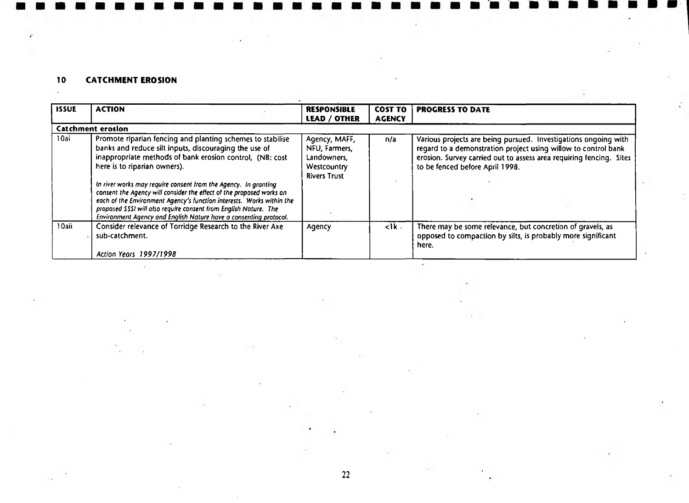# 10 CATCHMENT EROSION

 $\ddot{\epsilon}$ 

| <b>ISSUE</b> | <b>ACTION</b>                                                                                                                                                                                                                                                                                                                                             | <b>RESPONSIBLE</b><br><b>LEAD / OTHER</b>                                           | <b>COST TO</b><br><b>AGENCY</b> | <b>PROGRESS TO DATE</b>                                                                                                                                                                                                                     |
|--------------|-----------------------------------------------------------------------------------------------------------------------------------------------------------------------------------------------------------------------------------------------------------------------------------------------------------------------------------------------------------|-------------------------------------------------------------------------------------|---------------------------------|---------------------------------------------------------------------------------------------------------------------------------------------------------------------------------------------------------------------------------------------|
|              | <b>Catchment erosion</b>                                                                                                                                                                                                                                                                                                                                  |                                                                                     |                                 |                                                                                                                                                                                                                                             |
| 10ai         | Promote riparian fencing and planting schemes to stabilise<br>banks and reduce silt inputs, discouraging the use of<br>inappropriate methods of bank erosion control, (NB: cost<br>here is to riparian owners).                                                                                                                                           | Agency, MAFF,<br>NFU, Farmers,<br>Landowners,<br>Westcountry<br><b>Rivers Trust</b> | n/a                             | Various projects are being pursued. Investigations ongoing with<br>regard to a demonstration project using willow to control bank<br>erosion. Survey carried out to assess area requiring fencing. Sites<br>to be fenced before April 1998. |
|              | In river works may require consent from the Agency. In granting<br>consent the Agency will consider the effect of the proposed works on<br>each of the Environment Agency's function interests. Works within the<br>proposed SSSI will also require consent from English Noture. The<br>Environment Agency and English Nature have a consenting protocol. |                                                                                     |                                 |                                                                                                                                                                                                                                             |
| 10aii        | Consider relevance of Torridge Research to the River Axe<br>sub-catchment.<br>Action Years 1997/1998                                                                                                                                                                                                                                                      | Agency                                                                              | $\leq$ 1 k $\leq$               | There may be some relevance, but concretion of gravels, as<br>opposed to compaction by silts, is probably more significant<br>here.                                                                                                         |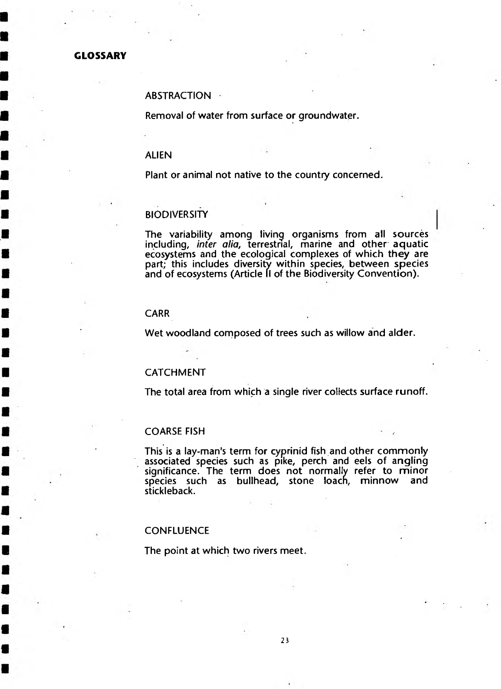#### **GLOSSARY**

### **ABSTRACTION**

**Removal of water from surface or groundwater.**

#### **ALIEN**

**Plant or animal not native to the country concerned.**

#### **BIODIVERSITY**

**The variability among living organisms from all sources including,** *inter alia***, terrestrial, marine and other aquatic ecosystems and the ecological complexes of which they are part; this includes diversity within species, between species and of ecosystems (Article II of the Biodiversity Convention).**

#### **CARR**

**Wet woodland composed of trees such as willow and alder.**

#### **CATCHMENT**

**The total area from which a single river collects surface runoff.**

#### **COARSE FISH**

**This is a lay-man's term for cyprinid fish and other commonly associated species such as pike, perch and eels of angling significance. The term does not normally refer to minor** species such as bullhead, stone loach, minnow and **stickleback.**

## **CONFLUENCE**

**The point at which two rivers meet.**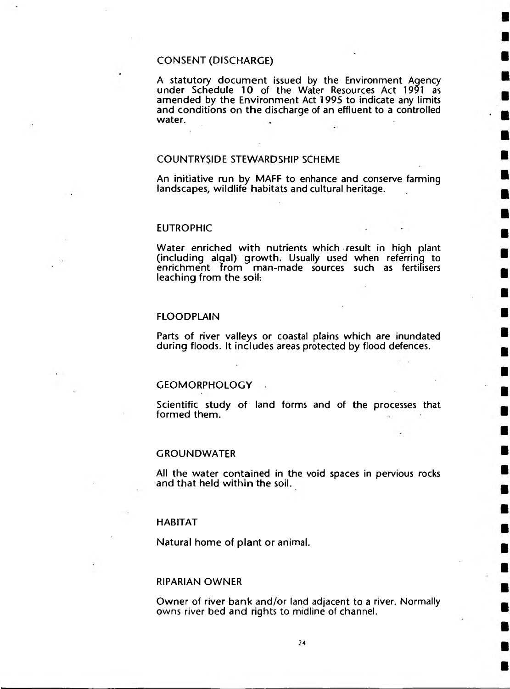# **CONSENT (DISCHARGE)**

A statutory document issued by the Environment Agency **under Schedule 10 of the Water Resources Act 1991 as amended by the Environment Act 1995 to indicate any limits and conditions on the discharge of an effluent to a controlled water.**

#### **COUNTRYSIDE STEWARDSHIP SCHEME**

**An initiative run by MAFF to enhance and conserve farming landscapes, wildlife habitats and cultural heritage.**

#### **EUTROPHIC**

**Water enriched with nutrients which result in high plant (including alqal) growth. Usually used when referring to enrichment from man-made sources such as fertilisers leaching from the soih**

## **FLOODPLAIN**

**Parts of river valleys or coastal plains which are inundated during floods. It includes areas protected by flood defences.**

#### GEOMORPHOLOGY **A**

**Scientific study of land forms and of the processes that formed them.**

#### **GROUNDWATER**

**All the water contained in the void spaces in pervious rocks and that held within the soil.**

#### **HABITAT**

**Natural home of plant or animal.**

#### **RIPARIAN OWNER**

**Owner of river bank and/or land adjacent to a river. Normally owns river bed and rights to midline of channel.**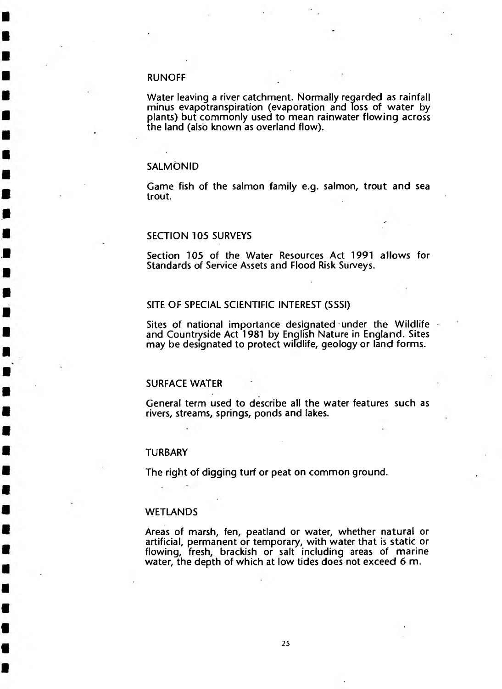### **RUNOFF**

**Water leaving a river catchment. Normally regarded as rainfall minus evapotranspiration (evaporation and Toss of water by plants) but commonly used to mean rainwater flowing across the land (also known as overland flow).**

#### **SALMONID**

**Game fish of the salmon family e.g. salmon, trout and sea trout.**

# **SECTION 105 SURVEYS**

**Section 105 of the Water Resources Act 1991 allows for Standards of Service Assets and Flood Risk Surveys.**

#### **SITE OF SPECIAL SCIENTIFIC INTEREST (SSSI)**

**Sites of national importance designated under the Wildlife and Countryside Act 1981 by Enqlish Nature in England. Sites may be designated to protect wildlife, geology or land forms.**

#### **SURFACE WATER**

**General term used to describe all the water features such as rivers, streams, springs, ponds and lakes.**

#### **TURBARY**

**The right of digging turf or peat on common ground.**

#### **WETLANDS**

**Areas of marsh, fen, peatland or water, whether natural or artificial, permanent or temporary, with water that is static or flowing, fresh, brackish or salt including areas of marine water, the depth of which at low tides does not exceed 6 m.**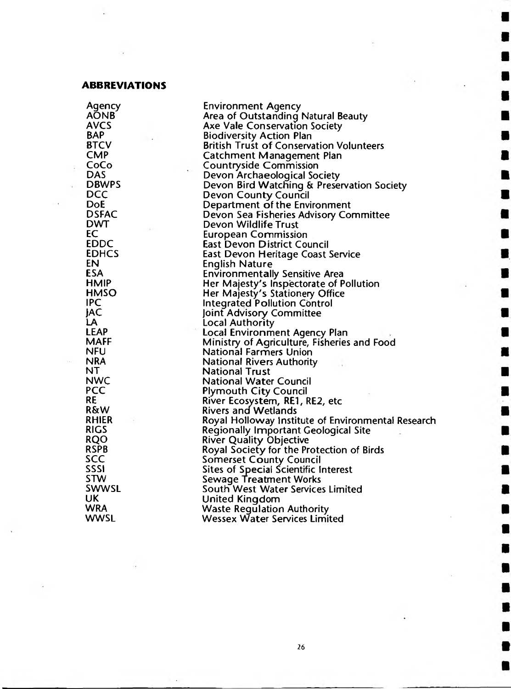#### **ABBREVIATIONS**

**Agency Environment Agency AONB Area of Outstanding Natural Beauty AVCS Axe Vale Conservation Society BAP Biodiversity Action Plan**<br>**British Trust of Conservant BTCV British Trust of Conservation Volunteers CMP Catchment Management Plan**<br> **Commission**<br>
Countryside Commission **CoCo Countryside Commission DAS Devon Archaeological Society**<br>**DBWPS Devon Bird Watching & Prese DBWPS Devon Bird Watching & Preservation Society DCC Devon Coun ty Council DoE Department of the Environment**<br>**DSFAC Devon Sea Fisheries Advisory Co DSFAC Devon Sea Fisheries Advisory Committee DWT Devon Wildlife Trust**<br> **Devon Wildlife Trust**<br> **Devon Wildlife Trust EC European Commission EDDC East Devon District Council EDHCS East Devon Heritage Coast Service EN English Nature ESA Environmentally Sensitive Area HMIP Her Majesty's Inspectorate of Pollution HMSO Her Majesty's Stationery Office IPC Integrated Pollution Control )AC joint Advisory Committee LA Local Authority LEAP Local Environment Agency Plan MAFF Ministry of Agriculture, Fisheries and Food NFU National Farmers Union NRA National Rivers Authority NT National Trust NWC National Water Council<br>
<b>PCC** Plymouth City Council **PCC Plymouth City Council RE River Ecosystem, RE1, RE2, etc R&W Rivers and Wetlands**<br>RHIER **Royal Holloway Institute RHIER Royal Holloway Institute of Environmental Research RIGS Regionally Important Geological Site RQO River Quality Objective**<br> **River Quality Objective**<br> **Royal Society for the Pr RSPB Royal Society for the Protection of Birds SCC** Somerset County Council<br>SSSI SESSI Sites of Special Scientific I **SSSI Sites of Special Scientific Interest STW Sewage Treatment Works SWWSL South West Water Services Limited UK United Kingdom WRA Waste Regulation Authority Wessex Water Services Limited**